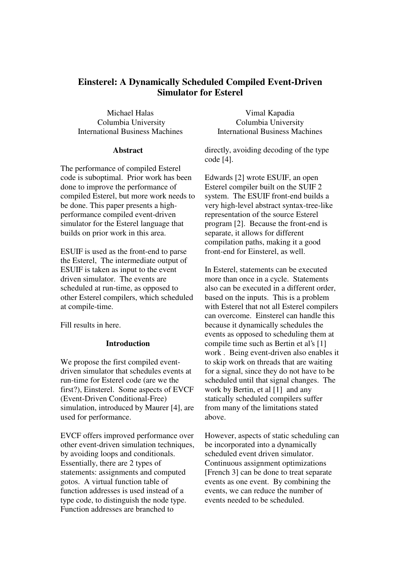# **Einsterel: A Dynamically Scheduled Compiled Event-Driven Simulator for Esterel**

Michael Halas Columbia University International Business Machines

### **Abstract**

The performance of compiled Esterel code is suboptimal. Prior work has been done to improve the performance of compiled Esterel, but more work needs to be done. This paper presents a highperformance compiled event-driven simulator for the Esterel language that builds on prior work in this area.

ESUIF is used as the front-end to parse the Esterel, The intermediate output of ESUIF is taken as input to the event driven simulator. The events are scheduled at run-time, as opposed to other Esterel compilers, which scheduled at compile-time.

Fill results in here.

## **Introduction**

We propose the first compiled eventdriven simulator that schedules events at run-time for Esterel code (are we the first?), Einsterel. Some aspects of EVCF (Event-Driven Conditional-Free) simulation, introduced by Maurer [4], are used for performance.

EVCF offers improved performance over other event-driven simulation techniques, by avoiding loops and conditionals. Essentially, there are 2 types of statements: assignments and computed gotos. A virtual function table of function addresses is used instead of a type code, to distinguish the node type. Function addresses are branched to

Vimal Kapadia Columbia University International Business Machines

directly, avoiding decoding of the type code [4].

Edwards [2] wrote ESUIF, an open Esterel compiler built on the SUIF 2 system. The ESUIF front-end builds a very high-level abstract syntax-tree-like representation of the source Esterel program [2]. Because the front-end is separate, it allows for different compilation paths, making it a good front-end for Einsterel, as well.

In Esterel, statements can be executed more than once in a cycle. Statements also can be executed in a different order, based on the inputs. This is a problem with Esterel that not all Esterel compilers can overcome. Einsterel can handle this because it dynamically schedules the events as opposed to scheduling them at compile time such as Bertin et al's [1] work . Being event-driven also enables it to skip work on threads that are waiting for a signal, since they do not have to be scheduled until that signal changes. The work by Bertin, et al [1] and any statically scheduled compilers suffer from many of the limitations stated above.

However, aspects of static scheduling can be incorporated into a dynamically scheduled event driven simulator. Continuous assignment optimizations [French 3] can be done to treat separate events as one event. By combining the events, we can reduce the number of events needed to be scheduled.